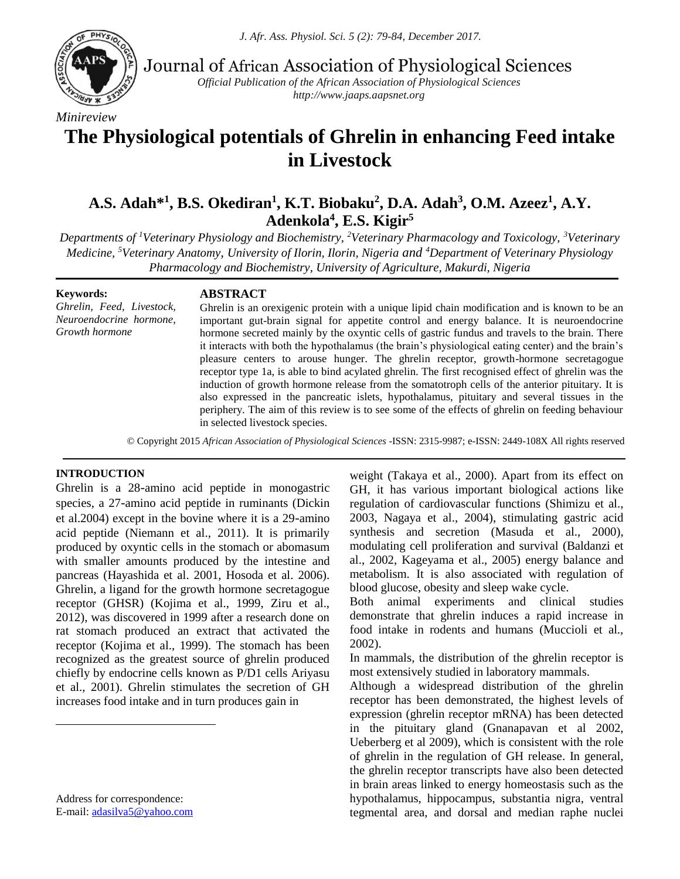

*Minireview*

Journal of African Association of Physiological Sciences

*Official Publication of the African Association of Physiological Sciences http://www.jaaps.aapsnet.org*

# **The Physiological potentials of Ghrelin in enhancing Feed intake in Livestock**

# **A.S. Adah\*<sup>1</sup> , B.S. Okediran<sup>1</sup> , K.T. Biobaku<sup>2</sup> , D.A. Adah<sup>3</sup> , O.M. Azeez<sup>1</sup> , A.Y. Adenkola<sup>4</sup> , E.S. Kigir<sup>5</sup>**

*Departments of <sup>1</sup>Veterinary Physiology and Biochemistry, <sup>2</sup>Veterinary Pharmacology and Toxicology, <sup>3</sup>Veterinary Medicine, <sup>5</sup>Veterinary Anatomy, University of Ilorin, Ilorin, Nigeria and <sup>4</sup>Department of Veterinary Physiology Pharmacology and Biochemistry, University of Agriculture, Makurdi, Nigeria*

**Keywords:** *Ghrelin, Feed, Livestock, Neuroendocrine hormone, Growth hormone*

#### **ABSTRACT**

Ghrelin is an orexigenic protein with a unique lipid chain modification and is known to be an important gut-brain signal for appetite control and energy balance. It is neuroendocrine hormone secreted mainly by the oxyntic cells of gastric fundus and travels to the brain. There it interacts with both the hypothalamus (the brain's physiological eating center) and the brain's pleasure centers to arouse hunger. The ghrelin receptor, growth-hormone secretagogue receptor type 1a, is able to bind acylated ghrelin. The first recognised effect of ghrelin was the induction of growth hormone release from the somatotroph cells of the anterior pituitary. It is also expressed in the pancreatic islets, hypothalamus, pituitary and several tissues in the periphery. The aim of this review is to see some of the effects of ghrelin on feeding behaviour in selected livestock species.

. © Copyright 2015 *African Association of Physiological Sciences* -ISSN: 2315-9987; e-ISSN: 2449-108X All rights reserved

#### **INTRODUCTION<sup>1</sup>**

Ghrelin is a 28-amino acid peptide in monogastric species, a 27-amino acid peptide in ruminants (Dickin et al.2004) except in the bovine where it is a 29-amino acid peptide (Niemann et al., 2011). It is primarily produced by oxyntic cells in the stomach or abomasum with smaller amounts produced by the intestine and pancreas (Hayashida et al. 2001, Hosoda et al. 2006). Ghrelin, a ligand for the growth hormone secretagogue receptor (GHSR) (Kojima et al., 1999, Ziru et al., 2012), was discovered in 1999 after a research done on rat stomach produced an extract that activated the receptor (Kojima et al., 1999). The stomach has been recognized as the greatest source of ghrelin produced chiefly by endocrine cells known as P/D1 cells Ariyasu et al., 2001). Ghrelin stimulates the secretion of GH increases food intake and in turn produces gain in

Address for correspondence: E-mail: [adasilva5@yahoo.com](mailto:adasilva5@yahoo.com)

 $\overline{a}$ 

weight (Takaya et al., 2000). Apart from its effect on GH, it has various important biological actions like regulation of cardiovascular functions (Shimizu et al., 2003, Nagaya et al., 2004), stimulating gastric acid synthesis and secretion (Masuda et al., 2000), modulating cell proliferation and survival (Baldanzi et al., 2002, Kageyama et al., 2005) energy balance and metabolism. It is also associated with regulation of blood glucose, obesity and sleep wake cycle.

Both animal experiments and clinical studies demonstrate that ghrelin induces a rapid increase in food intake in rodents and humans (Muccioli et al., 2002).

In mammals, the distribution of the ghrelin receptor is most extensively studied in laboratory mammals.

Although a widespread distribution of the ghrelin receptor has been demonstrated, the highest levels of expression (ghrelin receptor mRNA) has been detected in the pituitary gland (Gnanapavan et al 2002, Ueberberg et al 2009), which is consistent with the role of ghrelin in the regulation of GH release. In general, the ghrelin receptor transcripts have also been detected in brain areas linked to energy homeostasis such as the hypothalamus, hippocampus, substantia nigra, ventral tegmental area, and dorsal and median raphe nuclei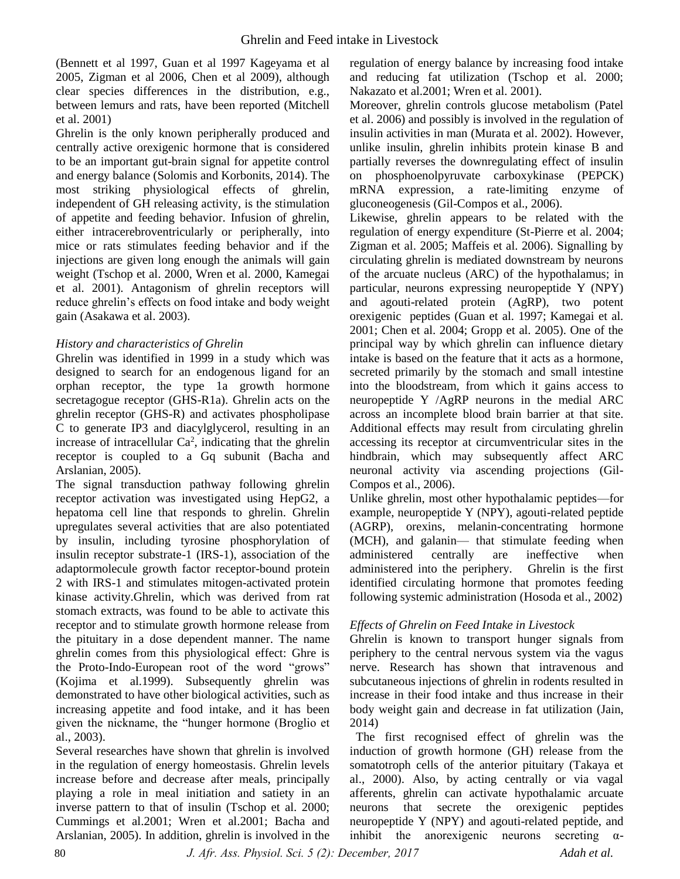(Bennett et al 1997, Guan et al 1997 Kageyama et al 2005, Zigman et al 2006, Chen et al 2009), although clear species differences in the distribution, e.g., between lemurs and rats, have been reported (Mitchell et al. 2001)

Ghrelin is the only known peripherally produced and centrally active orexigenic hormone that is considered to be an important gut-brain signal for appetite control and energy balance (Solomis and Korbonits, 2014). The most striking physiological effects of ghrelin, independent of GH releasing activity, is the stimulation of appetite and feeding behavior. Infusion of ghrelin, either intracerebroventricularly or peripherally, into mice or rats stimulates feeding behavior and if the injections are given long enough the animals will gain weight (Tschop et al. 2000, Wren et al. 2000, Kamegai et al. 2001). Antagonism of ghrelin receptors will reduce ghrelin's effects on food intake and body weight gain (Asakawa et al. 2003).

### *History and characteristics of Ghrelin*

Ghrelin was identified in 1999 in a study which was designed to search for an endogenous ligand for an orphan receptor, the type 1a growth hormone secretagogue receptor (GHS-R1a). Ghrelin acts on the ghrelin receptor (GHS-R) and activates phospholipase C to generate IP3 and diacylglycerol, resulting in an increase of intracellular  $Ca^2$ , indicating that the ghrelin receptor is coupled to a Gq subunit (Bacha and Arslanian, 2005).

The signal transduction pathway following ghrelin receptor activation was investigated using HepG2, a hepatoma cell line that responds to ghrelin. Ghrelin upregulates several activities that are also potentiated by insulin, including tyrosine phosphorylation of insulin receptor substrate-1 (IRS-1), association of the adaptormolecule growth factor receptor-bound protein 2 with IRS-1 and stimulates mitogen-activated protein kinase activity.Ghrelin, which was derived from rat stomach extracts, was found to be able to activate this receptor and to stimulate growth hormone release from the pituitary in a dose dependent manner. The name ghrelin comes from this physiological effect: Ghre is the Proto-Indo-European root of the word "grows" (Kojima et al.1999). Subsequently ghrelin was demonstrated to have other biological activities, such as increasing appetite and food intake, and it has been given the nickname, the "hunger hormone (Broglio et al., 2003).

Several researches have shown that ghrelin is involved in the regulation of energy homeostasis. Ghrelin levels increase before and decrease after meals, principally playing a role in meal initiation and satiety in an inverse pattern to that of insulin (Tschop et al. 2000; Cummings et al.2001; Wren et al.2001; Bacha and Arslanian, 2005). In addition, ghrelin is involved in the

regulation of energy balance by increasing food intake and reducing fat utilization (Tschop et al. 2000; Nakazato et al.2001; Wren et al. 2001).

Moreover, ghrelin controls glucose metabolism (Patel et al. 2006) and possibly is involved in the regulation of insulin activities in man (Murata et al. 2002). However, unlike insulin, ghrelin inhibits protein kinase B and partially reverses the downregulating effect of insulin on phosphoenolpyruvate carboxykinase (PEPCK) mRNA expression, a rate-limiting enzyme of gluconeogenesis (Gil-Compos et al., 2006).

Likewise, ghrelin appears to be related with the regulation of energy expenditure (St-Pierre et al. 2004; Zigman et al. 2005; Maffeis et al. 2006). Signalling by circulating ghrelin is mediated downstream by neurons of the arcuate nucleus (ARC) of the hypothalamus; in particular, neurons expressing neuropeptide Y (NPY) and agouti-related protein (AgRP), two potent orexigenic peptides (Guan et al. 1997; Kamegai et al. 2001; Chen et al. 2004; Gropp et al. 2005). One of the principal way by which ghrelin can influence dietary intake is based on the feature that it acts as a hormone, secreted primarily by the stomach and small intestine into the bloodstream, from which it gains access to neuropeptide Y /AgRP neurons in the medial ARC across an incomplete blood brain barrier at that site. Additional effects may result from circulating ghrelin accessing its receptor at circumventricular sites in the hindbrain, which may subsequently affect ARC neuronal activity via ascending projections (Gil-Compos et al., 2006).

Unlike ghrelin, most other hypothalamic peptides—for example, neuropeptide Y (NPY), agouti-related peptide (AGRP), orexins, melanin-concentrating hormone (MCH), and galanin— that stimulate feeding when administered centrally are ineffective when administered into the periphery. Ghrelin is the first identified circulating hormone that promotes feeding following systemic administration (Hosoda et al., 2002)

### *Effects of Ghrelin on Feed Intake in Livestock*

Ghrelin is known to transport hunger signals from periphery to the central nervous system via the vagus nerve. Research has shown that intravenous and subcutaneous injections of ghrelin in rodents resulted in increase in their food intake and thus increase in their body weight gain and decrease in fat utilization (Jain, 2014)

 The first recognised effect of ghrelin was the induction of growth hormone (GH) release from the somatotroph cells of the anterior pituitary (Takaya et al., 2000). Also, by acting centrally or via vagal afferents, ghrelin can activate hypothalamic arcuate neurons that secrete the orexigenic peptides neuropeptide Y (NPY) and agouti-related peptide, and inhibit the anorexigenic neurons secreting  $\alpha$ -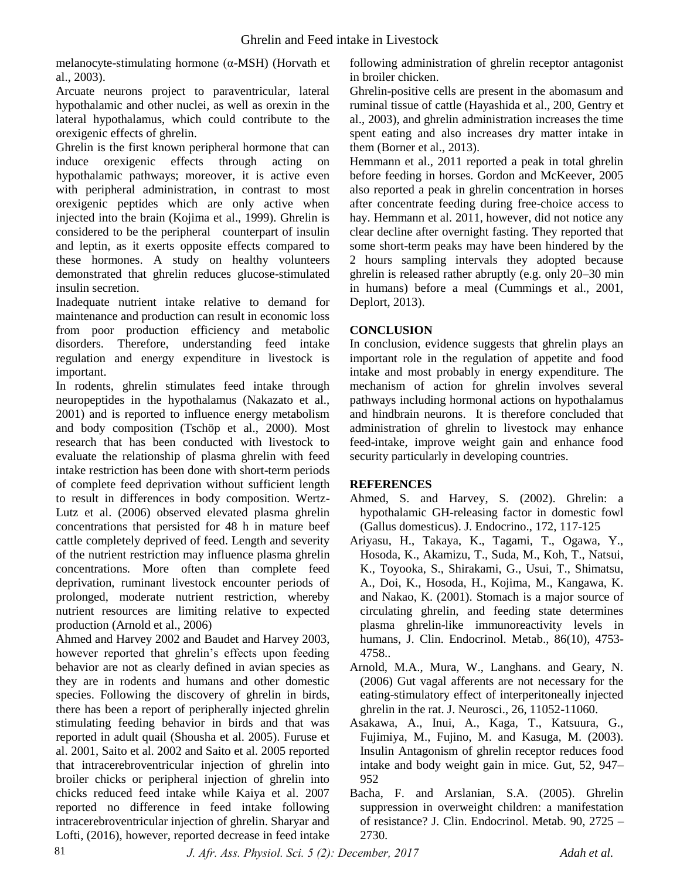melanocyte-stimulating hormone (α-MSH) (Horvath et al., 2003).

Arcuate neurons project to paraventricular, lateral hypothalamic and other nuclei, as well as orexin in the lateral hypothalamus, which could contribute to the orexigenic effects of ghrelin.

Ghrelin is the first known peripheral hormone that can induce orexigenic effects through acting on hypothalamic pathways; moreover, it is active even with peripheral administration, in contrast to most orexigenic peptides which are only active when injected into the brain (Kojima et al., 1999). Ghrelin is considered to be the peripheral counterpart of insulin and leptin, as it exerts opposite effects compared to these hormones. A study on healthy volunteers demonstrated that ghrelin reduces glucose-stimulated insulin secretion.

Inadequate nutrient intake relative to demand for maintenance and production can result in economic loss from poor production efficiency and metabolic disorders. Therefore, understanding feed intake regulation and energy expenditure in livestock is important.

In rodents, ghrelin stimulates feed intake through neuropeptides in the hypothalamus (Nakazato et al., 2001) and is reported to influence energy metabolism and body composition (Tschöp et al., 2000). Most research that has been conducted with livestock to evaluate the relationship of plasma ghrelin with feed intake restriction has been done with short-term periods of complete feed deprivation without sufficient length to result in differences in body composition. Wertz-Lutz et al. (2006) observed elevated plasma ghrelin concentrations that persisted for 48 h in mature beef cattle completely deprived of feed. Length and severity of the nutrient restriction may influence plasma ghrelin concentrations. More often than complete feed deprivation, ruminant livestock encounter periods of prolonged, moderate nutrient restriction, whereby nutrient resources are limiting relative to expected production (Arnold et al., 2006)

Ahmed and Harvey 2002 and Baudet and Harvey 2003, however reported that ghrelin's effects upon feeding behavior are not as clearly defined in avian species as they are in rodents and humans and other domestic species. Following the discovery of ghrelin in birds, there has been a report of peripherally injected ghrelin stimulating feeding behavior in birds and that was reported in adult quail (Shousha et al. 2005). Furuse et al. 2001, Saito et al. 2002 and Saito et al. 2005 reported that intracerebroventricular injection of ghrelin into broiler chicks or peripheral injection of ghrelin into chicks reduced feed intake while Kaiya et al. 2007 reported no difference in feed intake following intracerebroventricular injection of ghrelin. Sharyar and Lofti, (2016), however, reported decrease in feed intake

following administration of ghrelin receptor antagonist in broiler chicken.

Ghrelin-positive cells are present in the abomasum and ruminal tissue of cattle (Hayashida et al., 200, Gentry et al., 2003), and ghrelin administration increases the time spent eating and also increases dry matter intake in them (Borner et al., 2013).

Hemmann et al., 2011 reported a peak in total ghrelin before feeding in horses. Gordon and McKeever, 2005 also reported a peak in ghrelin concentration in horses after concentrate feeding during free-choice access to hay. Hemmann et al. 2011, however, did not notice any clear decline after overnight fasting. They reported that some short-term peaks may have been hindered by the 2 hours sampling intervals they adopted because ghrelin is released rather abruptly (e.g. only 20–30 min in humans) before a meal (Cummings et al., 2001, Deplort, 2013).

## **CONCLUSION**

In conclusion, evidence suggests that ghrelin plays an important role in the regulation of appetite and food intake and most probably in energy expenditure. The mechanism of action for ghrelin involves several pathways including hormonal actions on hypothalamus and hindbrain neurons. It is therefore concluded that administration of ghrelin to livestock may enhance feed-intake, improve weight gain and enhance food security particularly in developing countries.

### **REFERENCES**

- Ahmed, S. and Harvey, S. (2002). Ghrelin: a hypothalamic GH-releasing factor in domestic fowl (Gallus domesticus). J. Endocrino., 172, 117-125
- Ariyasu, H., Takaya, K., Tagami, T., Ogawa, Y., Hosoda, K., Akamizu, T., Suda, M., Koh, T., Natsui, K., Toyooka, S., Shirakami, G., Usui, T., Shimatsu, A., Doi, K., Hosoda, H., Kojima, M., Kangawa, K. and Nakao, K. (2001). Stomach is a major source of circulating ghrelin, and feeding state determines plasma ghrelin-like immunoreactivity levels in humans, J. Clin. Endocrinol. Metab., 86(10), 4753- 4758..
- Arnold, M.A., Mura, W., Langhans. and Geary, N. (2006) Gut vagal afferents are not necessary for the eating-stimulatory effect of interperitoneally injected ghrelin in the rat. J. Neurosci., 26, 11052-11060.
- Asakawa, A., Inui, A., Kaga, T., Katsuura, G., Fujimiya, M., Fujino, M. and Kasuga, M. (2003). Insulin Antagonism of ghrelin receptor reduces food intake and body weight gain in mice. Gut, 52, 947– 952
- Bacha, F. and Arslanian, S.A. (2005). Ghrelin suppression in overweight children: a manifestation of resistance? J. Clin. Endocrinol. Metab. 90, 2725 – 2730.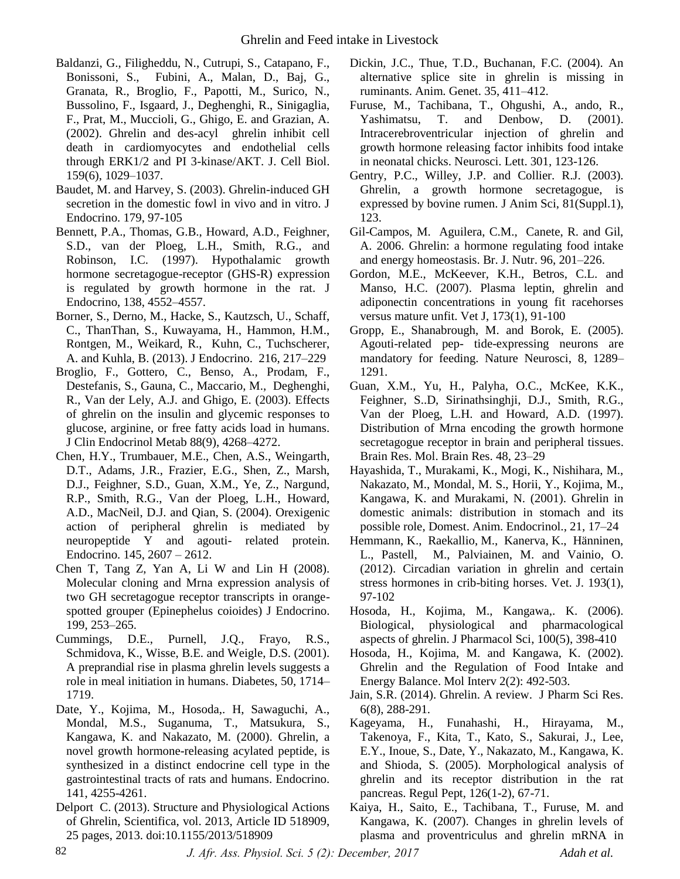- Baldanzi, G., Filigheddu, N., Cutrupi, S., Catapano, F., Bonissoni, S., Fubini, A., Malan, D., Baj, G., Granata, R., Broglio, F., Papotti, M., Surico, N., Bussolino, F., Isgaard, J., Deghenghi, R., Sinigaglia, F., Prat, M., Muccioli, G., Ghigo, E. and Grazian, A. (2002). Ghrelin and des-acyl ghrelin inhibit cell death in cardiomyocytes and endothelial cells through ERK1/2 and PI 3-kinase/AKT. J. Cell Biol. 159(6), 1029–1037.
- Baudet, M. and Harvey, S. (2003). Ghrelin-induced GH secretion in the domestic fowl in vivo and in vitro. J Endocrino. 179, 97-105
- Bennett, P.A., Thomas, G.B., Howard, A.D., Feighner, S.D., van der Ploeg, L.H., Smith, R.G., and Robinson, I.C. (1997). Hypothalamic growth hormone secretagogue-receptor (GHS-R) expression is regulated by growth hormone in the rat. J Endocrino, 138, 4552–4557.
- Borner, S., Derno, M., Hacke, S., Kautzsch, U., Schaff, C., ThanThan, S., Kuwayama, H., Hammon, H.M., Rontgen, M., Weikard, R., Kuhn, C., Tuchscherer, A. and Kuhla, B. (2013). J Endocrino. 216, 217–229
- Broglio, F., Gottero, C., Benso, A., Prodam, F., Destefanis, S., Gauna, C., Maccario, M., Deghenghi, R., Van der Lely, A.J. and Ghigo, E. (2003). Effects of ghrelin on the insulin and glycemic responses to glucose, arginine, or free fatty acids load in humans. J Clin Endocrinol Metab 88(9), 4268–4272.
- Chen, H.Y., Trumbauer, M.E., Chen, A.S., Weingarth, D.T., Adams, J.R., Frazier, E.G., Shen, Z., Marsh, D.J., Feighner, S.D., Guan, X.M., Ye, Z., Nargund, R.P., Smith, R.G., Van der Ploeg, L.H., Howard, A.D., MacNeil, D.J. and Qian, S. (2004). Orexigenic action of peripheral ghrelin is mediated by neuropeptide Y and agouti- related protein. Endocrino. 145, 2607 – 2612.
- Chen T, Tang Z, Yan A, Li W and Lin H (2008). Molecular cloning and Mrna expression analysis of two GH secretagogue receptor transcripts in orangespotted grouper (Epinephelus coioides) J Endocrino. 199, 253–265.
- Cummings, D.E., Purnell, J.Q., Frayo, R.S., Schmidova, K., Wisse, B.E. and Weigle, D.S. (2001). A preprandial rise in plasma ghrelin levels suggests a role in meal initiation in humans. Diabetes, 50, 1714– 1719.
- Date, Y., Kojima, M., Hosoda,. H, Sawaguchi, A., Mondal, M.S., Suganuma, T., Matsukura, S., Kangawa, K. and Nakazato, M. (2000). Ghrelin, a novel growth hormone-releasing acylated peptide, is synthesized in a distinct endocrine cell type in the gastrointestinal tracts of rats and humans. Endocrino. 141, 4255-4261.
- Delport C. (2013). Structure and Physiological Actions of Ghrelin, Scientifica, vol. 2013, Article ID 518909, 25 pages, 2013. doi:10.1155/2013/518909
- Dickin, J.C., Thue, T.D., Buchanan, F.C. (2004). An alternative splice site in ghrelin is missing in ruminants. Anim. Genet. 35, 411–412.
- Furuse, M., Tachibana, T., Ohgushi, A., ando, R., Yashimatsu, T. and Denbow, D. (2001). Intracerebroventricular injection of ghrelin and growth hormone releasing factor inhibits food intake in neonatal chicks. Neurosci. Lett. 301, 123-126.
- Gentry, P.C., Willey, J.P. and Collier. R.J. (2003). Ghrelin, a growth hormone secretagogue, is expressed by bovine rumen. J Anim Sci, 81(Suppl.1), 123.
- Gil-Campos, M. Aguilera, C.M., Canete, R. and Gil, A. 2006. Ghrelin: a hormone regulating food intake and energy homeostasis. Br. J. Nutr. 96, 201–226.
- Gordon, M.E., McKeever, K.H., Betros, C.L. and Manso, H.C. (2007). Plasma leptin, ghrelin and adiponectin concentrations in young fit racehorses versus mature unfit. Vet J, 173(1), 91-100
- Gropp, E., Shanabrough, M. and Borok, E. (2005). Agouti-related pep- tide-expressing neurons are mandatory for feeding. Nature Neurosci, 8, 1289– 1291.
- Guan, X.M., Yu, H., Palyha, O.C., McKee, K.K., Feighner, S..D, Sirinathsinghji, D.J., Smith, R.G., Van der Ploeg, L.H. and Howard, A.D. (1997). Distribution of Mrna encoding the growth hormone secretagogue receptor in brain and peripheral tissues. Brain Res. Mol. Brain Res. 48, 23–29
- Hayashida, T., Murakami, K., Mogi, K., Nishihara, M., Nakazato, M., Mondal, M. S., Horii, Y., Kojima, M., Kangawa, K. and Murakami, N. (2001). Ghrelin in domestic animals: distribution in stomach and its possible role, Domest. Anim. Endocrinol., 21, 17–24
- Hemmann, K., Raekallio, M., Kanerva, K., Hänninen, L., Pastell, M., Palviainen, M. and Vainio, O. (2012). Circadian variation in ghrelin and certain stress hormones in crib-biting horses. Vet. J. 193(1), 97-102
- Hosoda, H., Kojima, M., Kangawa,. K. (2006). Biological, physiological and pharmacological aspects of ghrelin. J Pharmacol Sci, 100(5), 398-410
- Hosoda, H., Kojima, M. and Kangawa, K. (2002). Ghrelin and the Regulation of Food Intake and Energy Balance. Mol Interv 2(2): 492-503.
- Jain, S.R. (2014). Ghrelin. A review. J Pharm Sci Res. 6(8), 288-291.
- Kageyama, H., Funahashi, H., Hirayama, M., Takenoya, F., Kita, T., Kato, S., Sakurai, J., Lee, E.Y., Inoue, S., Date, Y., Nakazato, M., Kangawa, K. and Shioda, S. (2005). Morphological analysis of ghrelin and its receptor distribution in the rat pancreas. Regul Pept, 126(1-2), 67-71.
- Kaiya, H., Saito, E., Tachibana, T., Furuse, M. and Kangawa, K. (2007). Changes in ghrelin levels of plasma and proventriculus and ghrelin mRNA in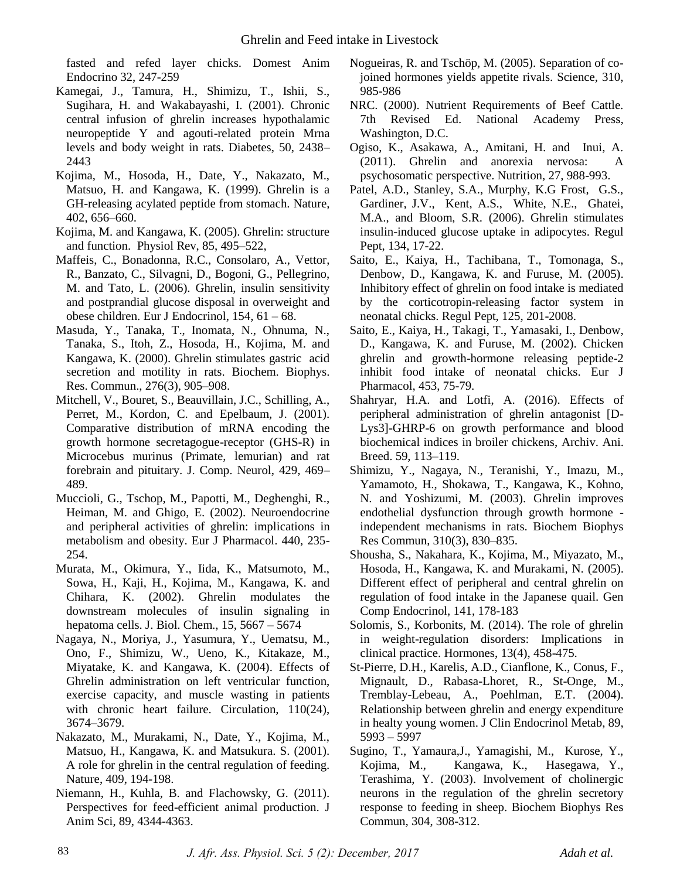fasted and refed layer chicks. Domest Anim Endocrino 32, 247-259

- Kamegai, J., Tamura, H., Shimizu, T., Ishii, S., Sugihara, H. and Wakabayashi, I. (2001). Chronic central infusion of ghrelin increases hypothalamic neuropeptide Y and agouti-related protein Mrna levels and body weight in rats. Diabetes, 50, 2438– 2443
- Kojima, M., Hosoda, H., Date, Y., Nakazato, M., Matsuo, H. and Kangawa, K. (1999). Ghrelin is a GH-releasing acylated peptide from stomach. Nature, 402, 656–660.
- Kojima, M. and Kangawa, K. (2005). Ghrelin: structure and function. Physiol Rev, 85, 495–522,
- Maffeis, C., Bonadonna, R.C., Consolaro, A., Vettor, R., Banzato, C., Silvagni, D., Bogoni, G., Pellegrino, M. and Tato, L. (2006). Ghrelin, insulin sensitivity and postprandial glucose disposal in overweight and obese children. Eur J Endocrinol, 154, 61 – 68.
- Masuda, Y., Tanaka, T., Inomata, N., Ohnuma, N., Tanaka, S., Itoh, Z., Hosoda, H., Kojima, M. and Kangawa, K. (2000). Ghrelin stimulates gastric acid secretion and motility in rats. Biochem. Biophys. Res. Commun., 276(3), 905–908.
- Mitchell, V., Bouret, S., Beauvillain, J.C., Schilling, A., Perret, M., Kordon, C. and Epelbaum, J. (2001). Comparative distribution of mRNA encoding the growth hormone secretagogue-receptor (GHS-R) in Microcebus murinus (Primate, lemurian) and rat forebrain and pituitary. J. Comp. Neurol, 429, 469– 489.
- Muccioli, G., Tschop, M., Papotti, M., Deghenghi, R., Heiman, M. and Ghigo, E. (2002). Neuroendocrine and peripheral activities of ghrelin: implications in metabolism and obesity. Eur J Pharmacol. 440, 235- 254.
- Murata, M., Okimura, Y., Iida, K., Matsumoto, M., Sowa, H., Kaji, H., Kojima, M., Kangawa, K. and Chihara, K. (2002). Ghrelin modulates the downstream molecules of insulin signaling in hepatoma cells. J. Biol. Chem., 15, 5667 – 5674
- Nagaya, N., Moriya, J., Yasumura, Y., Uematsu, M., Ono, F., Shimizu, W., Ueno, K., Kitakaze, M., Miyatake, K. and Kangawa, K. (2004). Effects of Ghrelin administration on left ventricular function, exercise capacity, and muscle wasting in patients with chronic heart failure. Circulation, 110(24), 3674–3679.
- Nakazato, M., Murakami, N., Date, Y., Kojima, M., Matsuo, H., Kangawa, K. and Matsukura. S. (2001). A role for ghrelin in the central regulation of feeding. Nature, 409, 194-198.
- Niemann, H., Kuhla, B. and Flachowsky, G. (2011). Perspectives for feed-efficient animal production. J Anim Sci, 89, 4344-4363.
- Nogueiras, R. and Tschöp, M. (2005). Separation of cojoined hormones yields appetite rivals. Science, 310, 985-986
- NRC. (2000). Nutrient Requirements of Beef Cattle. 7th Revised Ed. National Academy Press, Washington, D.C.
- Ogiso, K., Asakawa, A., Amitani, H. and Inui, A. (2011). Ghrelin and anorexia nervosa: A psychosomatic perspective. Nutrition, 27, 988-993.
- Patel, A.D., Stanley, S.A., Murphy, K.G Frost, G.S., Gardiner, J.V., Kent, A.S., White, N.E., Ghatei, M.A., and Bloom, S.R. (2006). Ghrelin stimulates insulin-induced glucose uptake in adipocytes. Regul Pept, 134, 17-22.
- Saito, E., Kaiya, H., Tachibana, T., Tomonaga, S., Denbow, D., Kangawa, K. and Furuse, M. (2005). Inhibitory effect of ghrelin on food intake is mediated by the corticotropin-releasing factor system in neonatal chicks. Regul Pept, 125, 201-2008.
- Saito, E., Kaiya, H., Takagi, T., Yamasaki, I., Denbow, D., Kangawa, K. and Furuse, M. (2002). Chicken ghrelin and growth-hormone releasing peptide-2 inhibit food intake of neonatal chicks. Eur J Pharmacol, 453, 75-79.
- Shahryar, H.A. and Lotfi, A. (2016). Effects of peripheral administration of ghrelin antagonist [D-Lys3]-GHRP-6 on growth performance and blood biochemical indices in broiler chickens, Archiv. Ani. Breed. 59, 113–119.
- Shimizu, Y., Nagaya, N., Teranishi, Y., Imazu, M., Yamamoto, H., Shokawa, T., Kangawa, K., Kohno, N. and Yoshizumi, M. (2003). Ghrelin improves endothelial dysfunction through growth hormone independent mechanisms in rats. Biochem Biophys Res Commun, 310(3), 830–835.
- Shousha, S., Nakahara, K., Kojima, M., Miyazato, M., Hosoda, H., Kangawa, K. and Murakami, N. (2005). Different effect of peripheral and central ghrelin on regulation of food intake in the Japanese quail. Gen Comp Endocrinol, 141, 178-183
- Solomis, S., Korbonits, M. (2014). The role of ghrelin in weight-regulation disorders: Implications in clinical practice. Hormones, 13(4), 458-475.
- St-Pierre, D.H., Karelis, A.D., Cianflone, K., Conus, F., Mignault, D., Rabasa-Lhoret, R., St-Onge, M., Tremblay-Lebeau, A., Poehlman, E.T. (2004). Relationship between ghrelin and energy expenditure in healty young women. J Clin Endocrinol Metab, 89, 5993 – 5997
- Sugino, T., Yamaura,J., Yamagishi, M., Kurose, Y., Kojima, M., Kangawa, K., Hasegawa, Y., Terashima, Y. (2003). Involvement of cholinergic neurons in the regulation of the ghrelin secretory response to feeding in sheep. Biochem Biophys Res Commun, 304, 308-312.